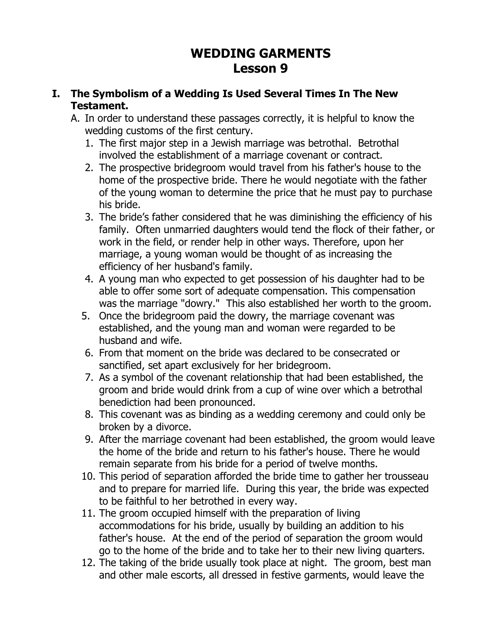# **WEDDING GARMENTS Lesson 9**

## **I. The Symbolism of a Wedding Is Used Several Times In The New Testament.**

- A. In order to understand these passages correctly, it is helpful to know the wedding customs of the first century.
	- 1. The first major step in a Jewish marriage was betrothal. Betrothal involved the establishment of a marriage covenant or contract.
	- 2. The prospective bridegroom would travel from his father's house to the home of the prospective bride. There he would negotiate with the father of the young woman to determine the price that he must pay to purchase his bride.
	- 3. The bride's father considered that he was diminishing the efficiency of his family. Often unmarried daughters would tend the flock of their father, or work in the field, or render help in other ways. Therefore, upon her marriage, a young woman would be thought of as increasing the efficiency of her husband's family.
	- 4. A young man who expected to get possession of his daughter had to be able to offer some sort of adequate compensation. This compensation was the marriage "dowry." This also established her worth to the groom.
	- 5. Once the bridegroom paid the dowry, the marriage covenant was established, and the young man and woman were regarded to be husband and wife.
	- 6. From that moment on the bride was declared to be consecrated or sanctified, set apart exclusively for her bridegroom.
	- 7. As a symbol of the covenant relationship that had been established, the groom and bride would drink from a cup of wine over which a betrothal benediction had been pronounced.
	- 8. This covenant was as binding as a wedding ceremony and could only be broken by a divorce.
	- 9. After the marriage covenant had been established, the groom would leave the home of the bride and return to his father's house. There he would remain separate from his bride for a period of twelve months.
	- 10. This period of separation afforded the bride time to gather her trousseau and to prepare for married life. During this year, the bride was expected to be faithful to her betrothed in every way.
	- 11. The groom occupied himself with the preparation of living accommodations for his bride, usually by building an addition to his father's house. At the end of the period of separation the groom would go to the home of the bride and to take her to their new living quarters.
	- 12. The taking of the bride usually took place at night. The groom, best man and other male escorts, all dressed in festive garments, would leave the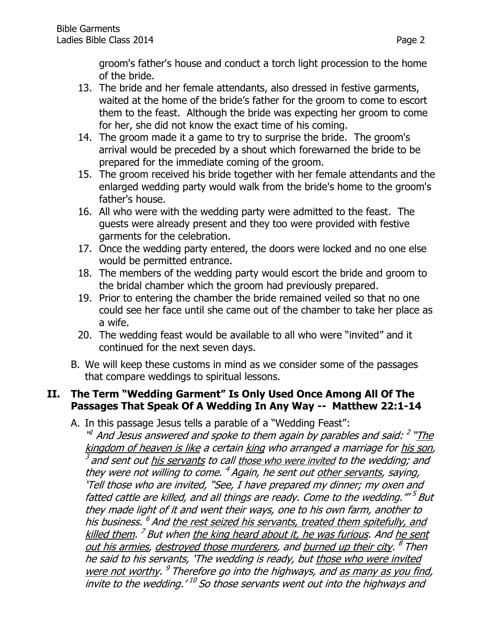groom's father's house and conduct a torch light procession to the home of the bride.

- 13. The bride and her female attendants, also dressed in festive garments, waited at the home of the bride's father for the groom to come to escort them to the feast. Although the bride was expecting her groom to come for her, she did not know the exact time of his coming.
- 14. The groom made it a game to try to surprise the bride. The groom's arrival would be preceded by a shout which forewarned the bride to be prepared for the immediate coming of the groom.
- 15. The groom received his bride together with her female attendants and the enlarged wedding party would walk from the bride's home to the groom's father's house.
- 16. All who were with the wedding party were admitted to the feast. The guests were already present and they too were provided with festive garments for the celebration.
- 17. Once the wedding party entered, the doors were locked and no one else would be permitted entrance.
- 18. The members of the wedding party would escort the bride and groom to the bridal chamber which the groom had previously prepared.
- 19. Prior to entering the chamber the bride remained veiled so that no one could see her face until she came out of the chamber to take her place as a wife.
- 20. The wedding feast would be available to all who were "invited" and it continued for the next seven days.
- B. We will keep these customs in mind as we consider some of the passages that compare weddings to spiritual lessons.

## **II. The Term "Wedding Garment" Is Only Used Once Among All Of The Passages That Speak Of A Wedding In Any Way -- Matthew 22:1-14**

A. In this passage Jesus tells a parable of a "Wedding Feast":

"<sup>1</sup> And Jesus answered and spoke to them again by parables and said: <sup>2</sup> "The kingdom of heaven is like a certain king who arranged a marriage for his son, 3 and sent out his servants to call those who were invited to the wedding; and they were not willing to come. <sup>4</sup> Again, he sent out <u>other servants</u>, saying, 'Tell those who are invited, "See, I have prepared my dinner; my oxen and fatted cattle are killed, and all things are ready. Come to the wedding."<sup>"5</sup> But they made light of it and went their ways, one to his own farm, another to his business. <sup>6</sup> And <u>the rest seized his servants, treated them spitefully, and</u> killed them. <sup>7</sup> But when <u>the king heard about it, he was furious</u>. And <u>he sent</u> out his armies, destroyed those murderers, and <u>burned up their city</u>. <sup>8</sup> Then he said to his servants, 'The wedding is ready, but those who were invited were not worthy. <sup>9</sup> Therefore go into the highways, and <u>as many as you find</u>, invite to the wedding.' <sup>10</sup> So those servants went out into the highways and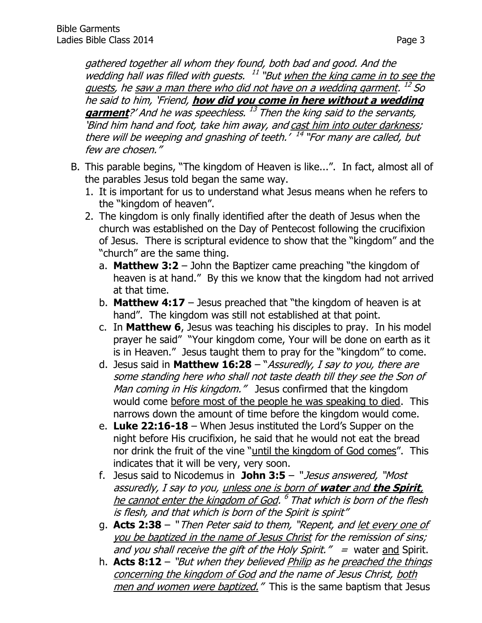gathered together all whom they found, both bad and good. And the wedding hall was filled with guests. <sup>11</sup> "But when the king came in to see the guests, he <u>saw a man there who did not have on a wedding garment</u>. <sup>12</sup> So he said to him, 'Friend, **how did you come in here without a wedding**  garment<sup>?'</sup> And he was speechless. <sup>13</sup> Then the king said to the servants, 'Bind him hand and foot, take him away, and cast him into outer darkness; there will be weeping and gnashing of teeth.' <sup>14</sup> "For many are called, but few are chosen."

- B. This parable begins, "The kingdom of Heaven is like...". In fact, almost all of the parables Jesus told began the same way.
	- 1. It is important for us to understand what Jesus means when he refers to the "kingdom of heaven".
	- 2. The kingdom is only finally identified after the death of Jesus when the church was established on the Day of Pentecost following the crucifixion of Jesus. There is scriptural evidence to show that the "kingdom" and the "church" are the same thing.
		- a. **Matthew 3:2** John the Baptizer came preaching "the kingdom of heaven is at hand." By this we know that the kingdom had not arrived at that time.
		- b. **Matthew 4:17** Jesus preached that "the kingdom of heaven is at hand". The kingdom was still not established at that point.
		- c. In **Matthew 6**, Jesus was teaching his disciples to pray. In his model prayer he said" "Your kingdom come, Your will be done on earth as it is in Heaven." Jesus taught them to pray for the "kingdom" to come.
		- d. Jesus said in **[Matthew 16:28](http://www.biblegateway.com/passage/?search=Matthew+16:28&version=NKJV)** "Assuredly, I say to you, there are some standing here who shall not taste death till they see the Son of Man coming in His kingdom." Jesus confirmed that the kingdom would come before most of the people he was speaking to died. This narrows down the amount of time before the kingdom would come.
		- e. **Luke 22:16-18** When Jesus instituted the Lord's Supper on the night before His crucifixion, he said that he would not eat the bread nor drink the fruit of the vine "until the kingdom of God comes". This indicates that it will be very, very soon.
		- f. Jesus said to Nicodemus in **John 3:5** " Jesus answered, "Most assuredly, I say to you, unless one is born of **water** and **the Spirit**, he cannot enter the kingdom of God. <sup>6</sup> That which is born of the flesh is flesh, and that which is born of the Spirit is spirit"
		- g. **Acts 2:38** " Then Peter said to them, "Repent, and let every one of you be baptized in the name of Jesus Christ for the remission of sins; and you shall receive the gift of the Holy Spirit."  $=$  water and Spirit.
		- h. **Acts 8:12** "But when they believed Philip as he preached the things concerning the kingdom of God and the name of Jesus Christ, both men and women were baptized." This is the same baptism that Jesus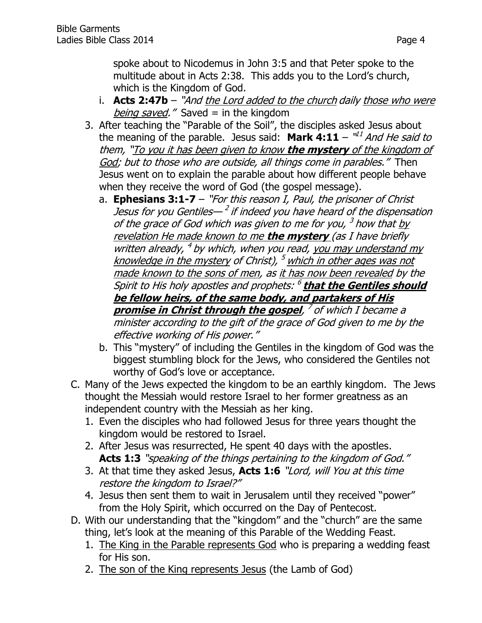spoke about to Nicodemus in John 3:5 and that Peter spoke to the multitude about in Acts 2:38. This adds you to the Lord's church, which is the Kingdom of God.

- i. **Acts 2:47b** "And the Lord added to the church daily those who were being saved." Saved  $=$  in the kingdom
- 3. After teaching the "Parable of the Soil", the disciples asked Jesus about the meaning of the parable. Jesus said: **Mark 4:11** –  $^{\mathsf{u2}}$  *And He said to* them, "To you it has been given to know **the mystery** of the kingdom of God; but to those who are outside, all things come in parables." Then Jesus went on to explain the parable about how different people behave when they receive the word of God (the gospel message).
	- a. **Ephesians 3:1-7** "For this reason I, Paul, the prisoner of Christ Jesus for you Gentiles— <sup>2</sup> if indeed you have heard of the dispensation of the grace of God which was given to me for you, <sup>3</sup> how that <u>by</u> revelation He made known to me **the mystery** (as I have briefly written already, <sup>4</sup> by which, when you read, you may understand my knowledge in the mystery of Christ), <sup>5</sup> which in other ages was not made known to the sons of men, as it has now been revealed by the Spirit to His holy apostles and prophets: 6 **that the Gentiles should be fellow heirs, of the same body, and partakers of His promise in Christ through the gospel**, 7 of which I became a minister according to the gift of the grace of God given to me by the effective working of His power."
	- b. This "mystery" of including the Gentiles in the kingdom of God was the biggest stumbling block for the Jews, who considered the Gentiles not worthy of God's love or acceptance.
- C. Many of the Jews expected the kingdom to be an earthly kingdom. The Jews thought the Messiah would restore Israel to her former greatness as an independent country with the Messiah as her king.
	- 1. Even the disciples who had followed Jesus for three years thought the kingdom would be restored to Israel.
	- 2. After Jesus was resurrected, He spent 40 days with the apostles. Acts 1:3 "speaking of the things pertaining to the kingdom of God."
	- 3. At that time they asked Jesus, **Acts 1:6** "Lord, will You at this time restore the kingdom to Israel?"
	- 4. Jesus then sent them to wait in Jerusalem until they received "power" from the Holy Spirit, which occurred on the Day of Pentecost.
- D. With our understanding that the "kingdom" and the "church" are the same thing, let's look at the meaning of this Parable of the Wedding Feast.
	- 1. The King in the Parable represents God who is preparing a wedding feast for His son.
	- 2. The son of the King represents Jesus (the Lamb of God)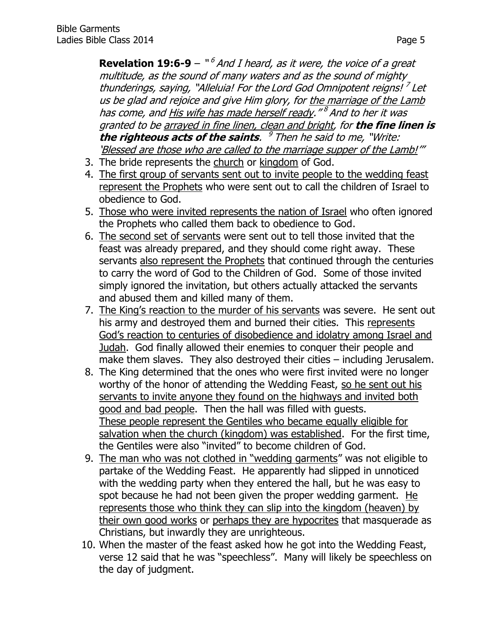**Revelation 19:6-9** – "<sup>6</sup> And I heard, as it were, the voice of a great multitude, as the sound of many waters and as the sound of mighty thunderings, saying, "Alleluia! For the Lord God Omnipotent reigns!<sup>7</sup> Let us be glad and rejoice and give Him glory, for the marriage of the Lamb has come, and <u>His wife has made herself ready</u>."<sup>8</sup> And to her it was granted to be arrayed in fine linen, clean and bright, for **the fine linen is the righteous acts of the saints**. 9 Then he said to me, "Write: 'Blessed are those who are called to the marriage supper of the Lamb!'"

- 3. The bride represents the church or kingdom of God.
- 4. The first group of servants sent out to invite people to the wedding feast represent the Prophets who were sent out to call the children of Israel to obedience to God.
- 5. Those who were invited represents the nation of Israel who often ignored the Prophets who called them back to obedience to God.
- 6. The second set of servants were sent out to tell those invited that the feast was already prepared, and they should come right away. These servants also represent the Prophets that continued through the centuries to carry the word of God to the Children of God. Some of those invited simply ignored the invitation, but others actually attacked the servants and abused them and killed many of them.
- 7. The King's reaction to the murder of his servants was severe. He sent out his army and destroyed them and burned their cities. This represents God's reaction to centuries of disobedience and idolatry among Israel and Judah. God finally allowed their enemies to conquer their people and make them slaves. They also destroyed their cities – including Jerusalem.
- 8. The King determined that the ones who were first invited were no longer worthy of the honor of attending the Wedding Feast, so he sent out his servants to invite anyone they found on the highways and invited both good and bad people. Then the hall was filled with guests. These people represent the Gentiles who became equally eligible for salvation when the church (kingdom) was established. For the first time, the Gentiles were also "invited" to become children of God.
- 9. The man who was not clothed in "wedding garments" was not eligible to partake of the Wedding Feast. He apparently had slipped in unnoticed with the wedding party when they entered the hall, but he was easy to spot because he had not been given the proper wedding garment. He represents those who think they can slip into the kingdom (heaven) by their own good works or perhaps they are hypocrites that masquerade as Christians, but inwardly they are unrighteous.
- 10. When the master of the feast asked how he got into the Wedding Feast, verse 12 said that he was "speechless". Many will likely be speechless on the day of judgment.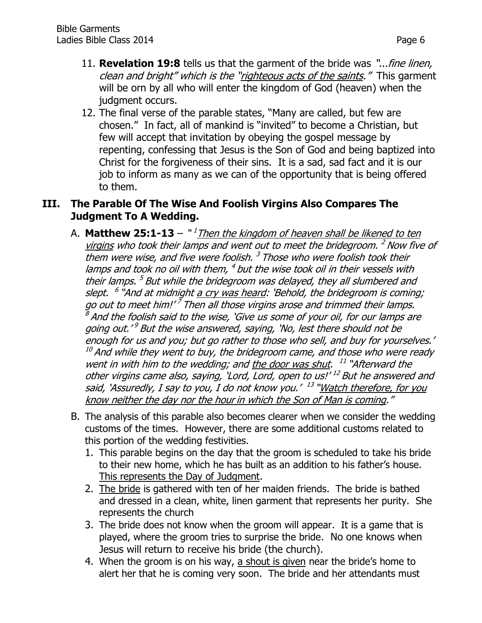- 11. **Revelation 19:8** tells us that the garment of the bride was "...fine linen, clean and bright" which is the "righteous acts of the saints." This garment will be orn by all who will enter the kingdom of God (heaven) when the judgment occurs.
- 12. The final verse of the parable states, "Many are called, but few are chosen." In fact, all of mankind is "invited" to become a Christian, but few will accept that invitation by obeying the gospel message by repenting, confessing that Jesus is the Son of God and being baptized into Christ for the forgiveness of their sins. It is a sad, sad fact and it is our job to inform as many as we can of the opportunity that is being offered to them.

#### **III. The Parable Of The Wise And Foolish Virgins Also Compares The Judgment To A Wedding.**

- A. **Matthew 25:1-13** "<sup>1</sup>Then the kingdom of heaven shall be likened to ten virgins who took their lamps and went out to meet the bridegroom. <sup>2</sup> Now five of them were wise, and five were foolish.<sup>3</sup> Those who were foolish took their lamps and took no oil with them, <sup>4</sup> but the wise took oil in their vessels with their lamps. <sup>5</sup> But while the bridegroom was delayed, they all slumbered and slept. <sup>6</sup> "And at midnight <u>a cry was heard</u>: 'Behold, the bridegroom is coming; go out to meet him!'<sup>7</sup> Then all those virgins arose and trimmed their lamps.  $\beta$  And the foolish said to the wise, 'Give us some of your oil, for our lamps are going out.'<sup>9</sup> But the wise answered, saying, 'No, lest there should not be enough for us and you; but go rather to those who sell, and buy for yourselves.'  $10$  And while they went to buy, the bridegroom came, and those who were ready went in with him to the wedding; and the door was shut. <sup>11</sup> "Afterward the other virgins came also, saying, 'Lord, Lord, open to us!' <sup>12</sup> But he answered and said, `Assuredly, I say to you, I do not know you.' <sup>13</sup> "<u>Watch therefore, for you</u> know neither the day nor the hour in which the Son of Man is coming."
- B. The analysis of this parable also becomes clearer when we consider the wedding customs of the times. However, there are some additional customs related to this portion of the wedding festivities.
	- 1. This parable begins on the day that the groom is scheduled to take his bride to their new home, which he has built as an addition to his father's house. This represents the Day of Judgment.
	- 2. The bride is gathered with ten of her maiden friends. The bride is bathed and dressed in a clean, white, linen garment that represents her purity. She represents the church
	- 3. The bride does not know when the groom will appear. It is a game that is played, where the groom tries to surprise the bride. No one knows when Jesus will return to receive his bride (the church).
	- 4. When the groom is on his way, a shout is given near the bride's home to alert her that he is coming very soon. The bride and her attendants must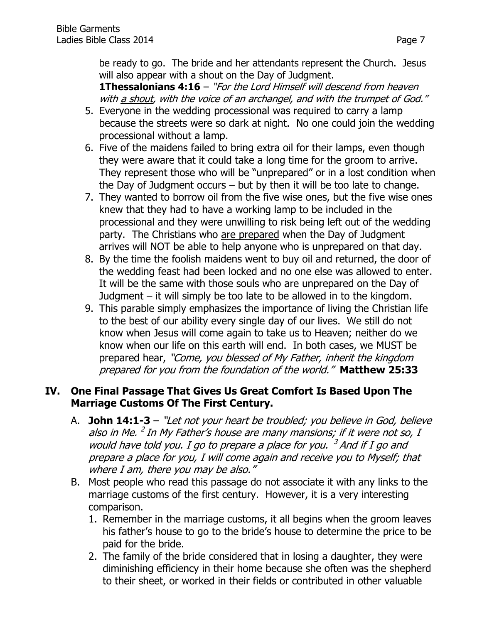be ready to go. The bride and her attendants represent the Church. Jesus will also appear with a shout on the Day of Judgment.

**[1Thessalonians 4:16](http://www.biblegateway.com/passage/?search=1%20Thessalonians+4:16&version=NKJV)** – "For the Lord Himself will descend from heaven with a shout, with the voice of an archangel, and with the trumpet of God."

- 5. Everyone in the wedding processional was required to carry a lamp because the streets were so dark at night. No one could join the wedding processional without a lamp.
- 6. Five of the maidens failed to bring extra oil for their lamps, even though they were aware that it could take a long time for the groom to arrive. They represent those who will be "unprepared" or in a lost condition when the Day of Judgment occurs – but by then it will be too late to change.
- 7. They wanted to borrow oil from the five wise ones, but the five wise ones knew that they had to have a working lamp to be included in the processional and they were unwilling to risk being left out of the wedding party. The Christians who are prepared when the Day of Judgment arrives will NOT be able to help anyone who is unprepared on that day.
- 8. By the time the foolish maidens went to buy oil and returned, the door of the wedding feast had been locked and no one else was allowed to enter. It will be the same with those souls who are unprepared on the Day of Judgment – it will simply be too late to be allowed in to the kingdom.
- 9. This parable simply emphasizes the importance of living the Christian life to the best of our ability every single day of our lives. We still do not know when Jesus will come again to take us to Heaven; neither do we know when our life on this earth will end. In both cases, we MUST be prepared hear, "Come, you blessed of My Father, inherit the kingdom prepared for you from the foundation of the world." **Matthew 25:33**

## **IV. One Final Passage That Gives Us Great Comfort Is Based Upon The Marriage Customs Of The First Century.**

- A. **John 14:1-3** "Let not your heart be troubled; you believe in God, believe also in Me. <sup>2</sup> In My Father's house are many mansions; if it were not so, I would have told you. I go to prepare a place for you.  $3$  And if I go and prepare a place for you, I will come again and receive you to Myself; that where I am, there you may be also."
- B. Most people who read this passage do not associate it with any links to the marriage customs of the first century. However, it is a very interesting comparison.
	- 1. Remember in the marriage customs, it all begins when the groom leaves his father's house to go to the bride's house to determine the price to be paid for the bride.
	- 2. The family of the bride considered that in losing a daughter, they were diminishing efficiency in their home because she often was the shepherd to their sheet, or worked in their fields or contributed in other valuable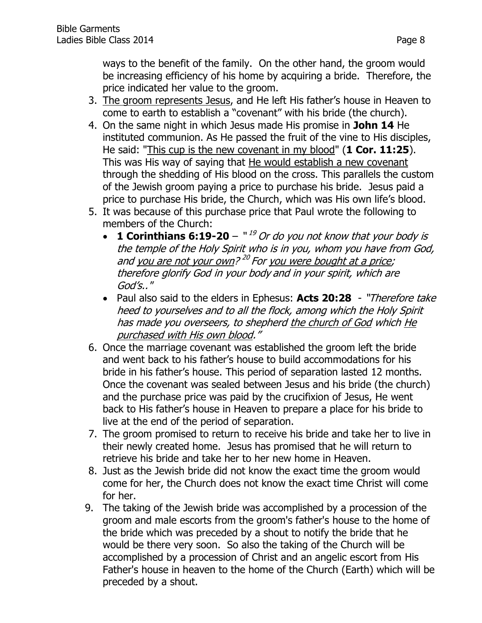ways to the benefit of the family. On the other hand, the groom would be increasing efficiency of his home by acquiring a bride. Therefore, the price indicated her value to the groom.

- 3. The groom represents Jesus, and He left His father's house in Heaven to come to earth to establish a "covenant" with his bride (the church).
- 4. On the same night in which Jesus made His promise in **John 14** He instituted communion. As He passed the fruit of the vine to His disciples, He said: "This cup is the new covenant in my blood" (**1 Cor. 11:25**). This was His way of saying that He would establish a new covenant through the shedding of His blood on the cross. This parallels the custom of the Jewish groom paying a price to purchase his bride. Jesus paid a price to purchase His bride, the Church, which was His own life's blood.
- 5. It was because of this purchase price that Paul wrote the following to members of the Church:
	- $\cdot$  **1 Corinthians 6:19-20**  $\cdot$  <sup>19</sup> Or do you not know that your body is the temple of the Holy Spirit who is in you, whom you have from God, and <u>you are not your own? 20 For you were bought at a price</u>; therefore glorify God in your body and in your spirit, which are God's.."
	- Paul also said to the elders in Ephesus: **[Acts 20:28](http://www.biblegateway.com/passage/?search=Acts+20:28&version=NKJV)** "Therefore take heed to yourselves and to all the flock, among which the Holy Spirit has made you overseers, to shepherd the church of God which He purchased with His own blood."
- 6. Once the marriage covenant was established the groom left the bride and went back to his father's house to build accommodations for his bride in his father's house. This period of separation lasted 12 months. Once the covenant was sealed between Jesus and his bride (the church) and the purchase price was paid by the crucifixion of Jesus, He went back to His father's house in Heaven to prepare a place for his bride to live at the end of the period of separation.
- 7. The groom promised to return to receive his bride and take her to live in their newly created home. Jesus has promised that he will return to retrieve his bride and take her to her new home in Heaven.
- 8. Just as the Jewish bride did not know the exact time the groom would come for her, the Church does not know the exact time Christ will come for her.
- 9. The taking of the Jewish bride was accomplished by a procession of the groom and male escorts from the groom's father's house to the home of the bride which was preceded by a shout to notify the bride that he would be there very soon. So also the taking of the Church will be accomplished by a procession of Christ and an angelic escort from His Father's house in heaven to the home of the Church (Earth) which will be preceded by a shout.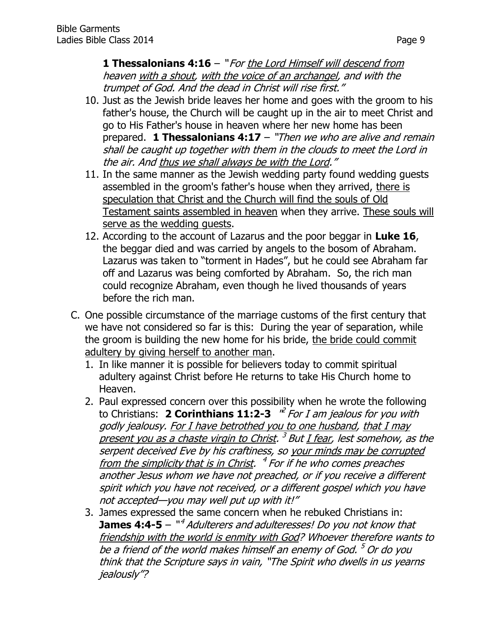**1 Thessalonians 4:16** – " For the Lord Himself will descend from heaven with a shout, with the voice of an archangel, and with the trumpet of God. And the dead in Christ will rise first."

- 10. Just as the Jewish bride leaves her home and goes with the groom to his father's house, the Church will be caught up in the air to meet Christ and go to His Father's house in heaven where her new home has been prepared. **1 Thessalonians 4:17** – "Then we who are alive and remain shall be caught up together with them in the clouds to meet the Lord in the air. And thus we shall always be with the Lord."
- 11. In the same manner as the Jewish wedding party found wedding guests assembled in the groom's father's house when they arrived, there is speculation that Christ and the Church will find the souls of Old Testament saints assembled in heaven when they arrive. These souls will serve as the wedding guests.
- 12. According to the account of Lazarus and the poor beggar in **Luke 16**, the beggar died and was carried by angels to the bosom of Abraham. Lazarus was taken to "torment in Hades", but he could see Abraham far off and Lazarus was being comforted by Abraham. So, the rich man could recognize Abraham, even though he lived thousands of years before the rich man.
- C. One possible circumstance of the marriage customs of the first century that we have not considered so far is this: During the year of separation, while the groom is building the new home for his bride, the bride could commit adultery by giving herself to another man.
	- 1. In like manner it is possible for believers today to commit spiritual adultery against Christ before He returns to take His Church home to Heaven.
	- 2. Paul expressed concern over this possibility when he wrote the following to Christians: 2 **Corinthians 11:2-3** <sup>"e For</sup> I am jealous for you with godly jealousy. For I have betrothed you to one husband, that I may present you as a chaste virgin to Christ. <sup>3</sup> But <u>I fear</u>, lest somehow, as the serpent deceived Eve by his craftiness, so your minds may be corrupted from the simplicity that is in Christ. <sup>4</sup> For if he who comes preaches another Jesus whom we have not preached, or if you receive a different spirit which you have not received, or a different gospel which you have not accepted—you may well put up with it!"
	- 3. James expressed the same concern when he rebuked Christians in: **James 4:4-5** – "<sup>4</sup> Adulterers and adulteresses! Do you not know that friendship with the world is enmity with God? Whoever therefore wants to be a friend of the world makes himself an enemy of God. <sup>5</sup> Or do you think that the Scripture says in vain, "The Spirit who dwells in us yearns jealously"?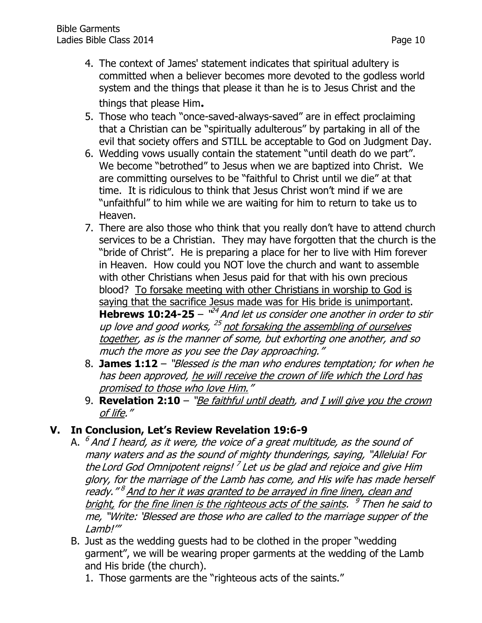- 4. The context of James' statement indicates that spiritual adultery is committed when a believer becomes more devoted to the godless world system and the things that please it than he is to Jesus Christ and the things that please Him**.**
- 5. Those who teach "once-saved-always-saved" are in effect proclaiming that a Christian can be "spiritually adulterous" by partaking in all of the evil that society offers and STILL be acceptable to God on Judgment Day.
- 6. Wedding vows usually contain the statement "until death do we part". We become "betrothed" to Jesus when we are baptized into Christ. We are committing ourselves to be "faithful to Christ until we die" at that time. It is ridiculous to think that Jesus Christ won't mind if we are "unfaithful" to him while we are waiting for him to return to take us to Heaven.
- 7. There are also those who think that you really don't have to attend church services to be a Christian. They may have forgotten that the church is the "bride of Christ". He is preparing a place for her to live with Him forever in Heaven. How could you NOT love the church and want to assemble with other Christians when Jesus paid for that with his own precious blood? To forsake meeting with other Christians in worship to God is saying that the sacrifice Jesus made was for His bride is unimportant. **Hebrews 10:24-25** –  $^{124}$  And let us consider one another in order to stir up love and good works, <sup>25</sup> not forsaking the assembling of ourselves together, as is the manner of some, but exhorting one another, and so much the more as you see the Day approaching."
- 8. **James 1:12** "Blessed is the man who endures temptation; for when he has been approved, he will receive the crown of life which the Lord has promised to those who love Him."
- 9. **Revelation 2:10** "Be faithful until death, and I will give you the crown of life."

## **V. In Conclusion, Let's Review Revelation 19:6-9**

- A. <sup>6</sup> And I heard, as it were, the voice of a great multitude, as the sound of many waters and as the sound of mighty thunderings, saying, "Alleluia! For the Lord God Omnipotent reigns!<sup>7</sup> Let us be glad and rejoice and give Him glory, for the marriage of the Lamb has come, and His wife has made herself ready." <sup>8</sup> And to her it was granted to be arrayed in fine linen, clean and <u>bright,</u> for <u>the fine linen is the righteous acts of the saints</u>. <sup>9</sup> Then he said to me, "Write: 'Blessed are those who are called to the marriage supper of the Lamb!'"
- B. Just as the wedding guests had to be clothed in the proper "wedding garment", we will be wearing proper garments at the wedding of the Lamb and His bride (the church).
	- 1. Those garments are the "righteous acts of the saints."